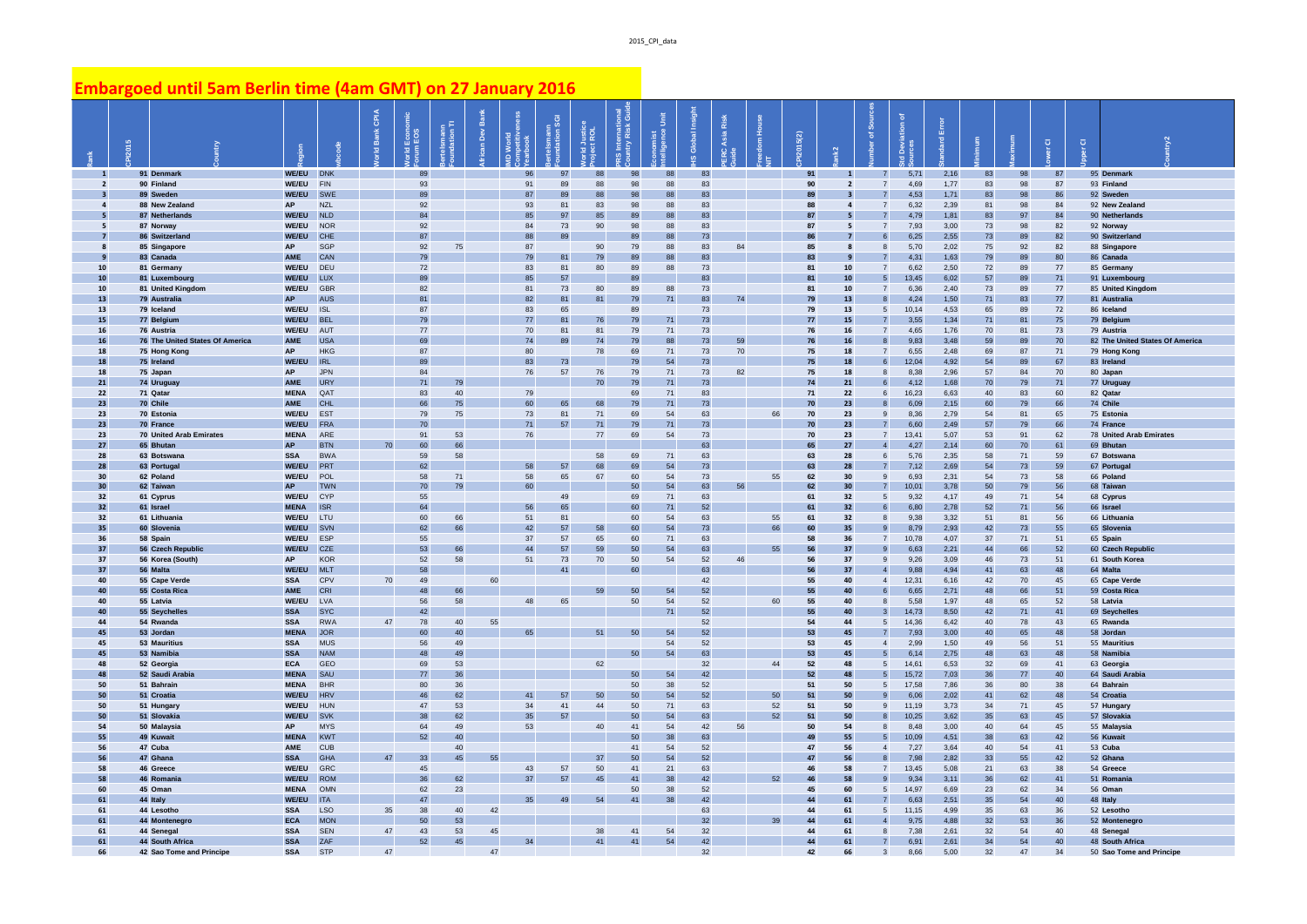## **Embargoed until 5am Berlin time (4am GMT) on 27 January 2016**

|                           |                                             |                          |                          | <b>GPIA</b> | Econd<br>EOS | nann<br>.ion Tl | DeV | prix     |                      | Justice<br>ROL |          |          | obal<br>$\overline{\sigma}$<br>$\underline{\omega}$ | Risk<br>sia |          | 5(2)     |                |                                         |               | 盖            |          |          | $\overline{\textbf{o}}$ | $\overline{\textbf{o}}$ |                                             |
|---------------------------|---------------------------------------------|--------------------------|--------------------------|-------------|--------------|-----------------|-----|----------|----------------------|----------------|----------|----------|-----------------------------------------------------|-------------|----------|----------|----------------|-----------------------------------------|---------------|--------------|----------|----------|-------------------------|-------------------------|---------------------------------------------|
| $\overline{1}$            | 91 Denmark                                  | WE/EU DNK                |                          |             | RQ           |                 |     | 96       | Q <sub>7</sub>       | <b>RR</b>      |          | R        | 83                                                  |             |          | 91       |                |                                         | 5,71          | 2,16         | 83       | QR       | 87                      |                         | 95 Denmark                                  |
| $\overline{2}$            | 90 Finland<br>89 Sweden                     | WE/EU<br>WE/EU           | FIN<br>SWE               |             | 93<br>89     |                 |     | 91<br>87 | 89<br>89             | 88<br>88       | 98<br>98 | 88<br>88 | 83<br>83                                            |             |          | 90<br>89 | $\overline{2}$ | $\overline{7}$<br>$\overline{7}$        | 4,69<br>4.53  | 1,77<br>1,71 | 83<br>83 | 98<br>98 | 87<br>86                |                         | 93 Finland<br>92 Sweden                     |
| $\mathbf{A}$              | 88 New Zealand                              | <b>AP</b>                | <b>NZL</b>               |             | 92           |                 |     | 93       | 81                   | 83             | 98       | 88       | 83                                                  |             |          | 88       | $\mathbf{A}$   | $\overline{7}$                          | 6,32          | 2,39         | 81       | 98       | 84                      |                         | 92 New Zealand                              |
|                           | 87 Netherlands                              | WE/EU                    | <b>NLD</b>               |             | 84           |                 |     | 85       | 97                   | 85             | 89       | 88       | 83                                                  |             |          | 87       |                |                                         | 4,79          | 1,81         | 83       | 97       | 84                      |                         | 90 Netherlands                              |
| -5                        | 87 Norway                                   | <b>WE/EU</b>             | <b>NOR</b>               |             | 92           |                 |     | 84       | 73                   | 90             | 98       | 88       | 83                                                  |             |          | 87       | 5              | $\overline{7}$                          | 7,93          | 3,00         | 73       | 98       | 82                      |                         | 92 Norway                                   |
|                           | 86 Switzerland                              | <b>WE/EU</b>             | CHE                      |             | 87           |                 |     | 88       | 89                   |                | 89       | 88       | 73                                                  |             |          | 86       | $\overline{z}$ |                                         | 6,25          | 2,55         | 73       | 89       | 82                      |                         | 90 Switzerland                              |
| $\boldsymbol{\mathsf{R}}$ | 85 Singapore                                | <b>AP</b>                | <b>SGP</b>               |             | 92           | 75              |     | 87       |                      | 90             | 79       | 88       | 83                                                  | 84          |          | 85       | $\mathbf{g}$   | $\mathbf{8}$                            | 5,70          | 2,02         | 75       | 92       | 82                      |                         | 88 Singapore                                |
| 10                        | 83 Canada<br>81 Germany                     | <b>AME</b><br>WE/EU      | <b>CAN</b><br>DEU        |             | 79<br>72     |                 |     | 79<br>83 | $\mathbf{R}^*$<br>81 | 79<br>80       | 89<br>89 | 88<br>88 | 83<br>73                                            |             |          | 83<br>81 | 10             | $\overline{7}$                          | 4.31<br>6.62  | 1.63<br>2.50 | 79<br>72 | 89<br>89 | 80<br>77                |                         | 86 Canada<br>85 Germany                     |
| 10                        | 81 Luxembourg                               | WE/EU                    | LUX                      |             | 89           |                 |     | 85       | 57                   |                | 89       |          | 83                                                  |             |          | 81       | ${\bf 10}$     | $\overline{5}$                          | 13,45         | 6,02         | 57       | 89       | $71\,$                  |                         | 91 Luxembourg                               |
| 10                        | 81 United Kingdom                           | WE/EU                    | GBR                      |             | 82           |                 |     | 81       | 73                   | 80             | 89       | 88       | 73                                                  |             |          | 81       | 10             | $\overline{7}$                          | 6,36          | 2,40         | 73       | 89       | 77                      |                         | 85 United Kingdom                           |
| 13                        | 79 Australia                                | <b>AP</b>                | <b>AUS</b>               |             | 81           |                 |     | 82       | 81                   | 81             | 79       | 71       | 83                                                  | 74          |          | 79       | 13             | 8                                       | 4,24          | 1,50         | 71       | 83       | 77                      |                         | 81 Australia                                |
| 13                        | 79 Iceland                                  | WE/EU                    | <b>ISL</b>               |             | 87           |                 |     | 83       | 65                   |                | 89       |          | 73                                                  |             |          | 79       | 13             | $\overline{5}$                          | 10,14         | 4,53         | 65       | 89       | 72                      |                         | 86 Iceland                                  |
| 15<br>16                  | 77 Belgium<br>76 Austria                    | WE/EU<br>WE/EU           | <b>BEL</b><br>AUT        |             | 79<br>77     |                 |     | 77<br>70 | 81<br>81             | 76<br>81       | 79<br>79 | 71<br>71 | 73<br>73                                            |             |          | 77<br>76 | 15<br>16       | $\overline{7}$<br>$\overline{7}$        | 3,55<br>4,65  | 1,34<br>1,76 | 71<br>70 | 81<br>81 | 75<br>73                |                         | 79 Belgium<br>79 Austria                    |
| 16                        | 76 The United States Of America             | <b>AME</b>               | <b>USA</b>               |             | 69           |                 |     | 74       | 89                   | 74             | 79       | 88       | 73                                                  | 59          |          | 76       | 16             | $\mathbf{8}$                            | 9.83          | 3,48         | 59       | 89       | 70                      |                         | 82 The United States Of America             |
| 18                        | 75 Hong Kong                                | <b>AP</b>                | <b>HKG</b>               |             | 87           |                 |     | 80       |                      | 78             | 69       | $\bf 71$ | 73                                                  | 70          |          | 75       | 18             | $\overline{7}$                          | 6,55          | 2,48         | 69       | 87       | 71                      |                         | 79 Hong Kong                                |
| 18                        | 75 Ireland                                  | <b>WE/EU</b>             | <b>IRL</b>               |             | 89           |                 |     | 83       | 73                   |                | 79       | 54       | 73                                                  |             |          | 75       | 18             | 6                                       | 12,04         | 4,92         | 54       | 89       | 67                      |                         | 83 Ireland                                  |
| 18                        | 75 Japan                                    | AP                       | <b>JPN</b>               |             | 84           |                 |     | 76       | 57                   | 76             | 79       | 71       | 73                                                  | 82          |          | 75       | 18             | 8                                       | 8,38          | 2,96         | 57       | 84       | 70                      |                         | 80 Japan                                    |
| 21                        | 74 Uruguay                                  | AME                      | <b>URY</b>               |             | 71           | 79              |     |          |                      | 70             | 79       | 71       | 73                                                  |             |          | 74       | 21             | 6                                       | 4,12          | 1,68         | 70       | 79       | 71                      |                         | 77 Uruguay                                  |
| 22<br>23                  | 71 Qatar<br>70 Chile                        | <b>MENA</b><br>AME       | QAT<br><b>CHL</b>        |             | 83<br>66     | 40<br>75        |     | 79<br>60 | 65                   | 68             | 69<br>79 | 71<br>71 | 83<br>73                                            |             |          | 71<br>70 | 22<br>23       | 6<br>$\mathbf{R}$                       | 16,23<br>6,09 | 6,63<br>2,15 | 40<br>60 | 83<br>79 | 60<br>66                |                         | 82 Qatar<br>74 Chile                        |
| 23                        | 70 Estonia                                  | WE/EU                    | <b>EST</b>               |             | 79           | 75              |     | 73       | 81                   | 71             | 69       | 54       | 63                                                  |             | 66       | 70       | 23             | $\overline{9}$                          | 8,36          | 2,79         | 54       | 81       | 65                      |                         | 75 Estonia                                  |
| 23                        | 70 France                                   | WE/EU                    | <b>FRA</b>               |             | 70           |                 |     | 71       | 57                   | 71             | 79       | 71       | 73                                                  |             |          | 70       | 23             | $\overline{7}$                          | 6,60          | 2,49         | 57       | 79       | 66                      |                         | 74 France                                   |
| 23                        | 70 United Arab Emirates                     | <b>MENA</b>              | ARE                      |             | 91           | 53              |     | 76       |                      | 77             | 69       | 54       | 73                                                  |             |          | 70       | 23             | $\overline{7}$                          | 13,41         | 5,07         | 53       | 91       | 62                      |                         | 78 United Arab Emirates                     |
| 27                        | 65 Bhutan                                   | <b>AP</b>                | <b>BTN</b>               | 70          | 60           | 66              |     |          |                      |                |          |          | 63                                                  |             |          | 65       | 27             | $\overline{4}$                          | 4,27          | 2,14         | 60       | 70       | 61                      |                         | 69 Bhutan                                   |
| 28                        | 63 Botswana                                 | <b>SSA</b>               | <b>BWA</b>               |             | 59           | 58              |     |          |                      | 58             | 69       | 71       | 63                                                  |             |          | 63       | 28             | 6                                       | 5,76          | 2,35         | 58       | 71       | 59                      |                         | 67 Botswana                                 |
| 28<br>30                  | 63 Portugal<br>62 Poland                    | WE/EU<br>WE/EU           | PRT<br>POL               |             | 62<br>58     | 71              |     | 58<br>58 | 57<br>65             | 68<br>67       | 69<br>60 | 54<br>54 | 73<br>73                                            |             | 55       | 63<br>62 | 28<br>30       | $\overline{7}$<br>$\mathbf{g}$          | 7,12<br>6,93  | 2,69<br>2,31 | 54<br>54 | 73<br>73 | 59<br>58                |                         | 67 Portugal<br>66 Poland                    |
| 30                        | 62 Taiwan                                   | <b>AP</b>                | <b>TWN</b>               |             | 70           | 79              |     | 60       |                      |                | 50       | 54       | 63                                                  | 56          |          | 62       | 30             | $\overline{7}$                          | 10,01         | 3,78         | 50       | 79       | 56                      |                         | 68 Taiwan                                   |
| 32                        | 61 Cyprus                                   | WE/EU                    | CYP                      |             | 55           |                 |     |          | 49                   |                | 69       | $71\,$   | 63                                                  |             |          | 61       | 32             | 5                                       | 9,32          | 4,17         | 49       | 71       | 54                      |                         | 68 Cyprus                                   |
| 32                        | 61 Israel                                   | <b>MENA</b>              | <b>ISR</b>               |             | 64           |                 |     | 56       | 65                   |                | 60       | 71       | 52                                                  |             |          | 61       | 32             | 6                                       | 6,80          | 2,78         | 52       | 71       | 56                      |                         | 66 Israel                                   |
| 32                        | 61 Lithuania                                | WE/EU                    | LTU                      |             | 60           | 66              |     | 51       | 81                   | 58             | 60       | 54       | 63                                                  |             | 55       | 61       | 32             | 8<br>$\overline{9}$                     | 9,38          | 3,32         | 51       | 81       | 56                      |                         | 66 Lithuania                                |
| 35<br>36                  | 60 Slovenia<br>58 Spain                     | WE/EU<br>WE/EU           | SVN<br>ESP               |             | 62<br>55     | 66              |     | 42<br>37 | 57<br>57             | 65             | 60<br>60 | 54<br>71 | 73<br>63                                            |             | 66       | 60<br>58 | 35<br>36       | $\overline{7}$                          | 8,79<br>10,78 | 2,93<br>4,07 | 42<br>37 | 73<br>71 | 55<br>51                |                         | 65 Slovenia<br>65 Spain                     |
| 37                        | 56 Czech Republic                           | WE/EU                    | CZE                      |             | 53           | 66              |     | 44       | 57                   | 59             | 50       | 54       | 63                                                  |             |          | 56       | 37             | $\mathbf{g}$                            | 6,63          | 2,21         | 44       | 66       | 52                      |                         | 60 Czech Republic                           |
| 37                        | 56 Korea (South)                            | <b>AP</b>                | <b>KOR</b>               |             | 52           | 58              |     | 51       | 73                   | 70             | 50       | 54       | 52                                                  | 46          |          | 56       | 37             | $\mathbf{g}$                            | 9,26          | 3.09         | 46       | 73       | 51                      |                         | 61 South Korea                              |
| 37                        | 56 Malta                                    | <b>WE/EU</b>             | ML T                     |             | 58           |                 |     |          | 41                   |                | 60       |          | 63                                                  |             |          | 56       | 37             | $\overline{4}$                          | 9,88          | 4,94         | 41       | 63       | 48                      |                         | 64 Malta                                    |
| 40                        | 55 Cape Verde                               | <b>SSA</b>               | CPV                      | 70          | 49<br>48     |                 | 60  |          |                      | 59             | 50       | 54       | 42<br>52                                            |             |          | 55       | 40             | $\overline{4}$<br>6                     | 12,31         | 6,16         | 42<br>48 | 70       | 45                      |                         | 65 Cape Verde                               |
| 40<br>40                  | 55 Costa Rica<br>55 Latvia                  | AME<br>WE/EU             | <b>CRI</b><br>LVA        |             | 56           | 66<br>58        |     | 48       | 65                   |                | 50       | 54       | 52                                                  |             | 60       | 55<br>55 | 40<br>40       | 8                                       | 6,65<br>5,58  | 2,71<br>1,97 | 48       | 66<br>65 | 51<br>52                |                         | 59 Costa Rica<br>58 Latvia                  |
| 40                        | 55 Seychelles                               | <b>SSA</b>               | <b>SYC</b>               |             | 42           |                 |     |          |                      |                |          | 71       | 52                                                  |             |          | 55       | 40             | $\mathbf{3}$                            | 14,73         | 8,50         | 42       | 71       | 41                      |                         | 69 Seychelles                               |
| 44                        | 54 Rwanda                                   | <b>SSA</b>               | <b>RWA</b>               | 47          | 78           | 40              | 55  |          |                      |                |          |          | 52                                                  |             |          | 54       | 44             | 5                                       | 14.36         | 6.42         | 40       | 78       | 43                      |                         | 65 Rwanda                                   |
| 45                        | 53 Jordan                                   | <b>MENA</b>              | <b>JOR</b>               |             | 60           | 40              |     | 65       |                      | 51             | 50       | 54       | 52                                                  |             |          | 53       | 45             | $\overline{7}$                          | 7,93          | 3,00         | 40       | 65       | 48                      |                         | 58 Jordan                                   |
| 45<br>45                  | 53 Mauritius<br>53 Namibia                  | <b>SSA</b><br><b>SSA</b> | <b>MUS</b><br><b>NAM</b> |             | 56<br>48     | 49<br>49        |     |          |                      |                |          | 54       | 52<br>63                                            |             |          | 53<br>53 | 45<br>45       | $\overline{4}$                          | 2.99<br>6,14  | 1,50<br>2,75 | 49<br>48 | 56<br>63 | 51                      |                         | 55 Mauritius<br>58 Namibia                  |
| 48                        | 52 Georgia                                  | <b>ECA</b>               | GEO                      |             | 69           | 53              |     |          |                      | 62             | 50       | 54       | 32                                                  |             | 44       | 52       | 48             | 5<br>5                                  | 14,61         | 6,53         | 32       | 69       | 48<br>41                |                         | 63 Georgia                                  |
| 48                        | 52 Saudi Arabia                             | <b>MENA</b>              | SAU                      |             | 77           | 36              |     |          |                      |                | 50       | 54       | 42                                                  |             |          | 52       | 48             | $5\overline{5}$                         | 15,72         | 7,03         | 36       | 77       | 40                      |                         | 64 Saudi Arab                               |
| 50                        | 51 Bahrain                                  | <b>MENA</b>              | <b>BHR</b>               |             | 80           | 36              |     |          |                      |                | 50       | 38       | 52                                                  |             |          | 51       | 50             | $\overline{5}$                          | 17,58         | 7,86         | 36       | 80       | 38                      |                         | 64 Bahrain                                  |
| 50                        | 51 Croatia                                  | WE/EU                    | <b>HRV</b>               |             | 46           | 62              |     | 41       | 57                   | 50             | 50       | 54       | 52                                                  |             | 50       | 51       | 50             | $\mathbf{g}$                            | 6,06          | 2,02         | 41       | 62       | 48                      |                         | 54 Croatia                                  |
| 50<br>50                  | 51 Hungary                                  | WE/EU                    | HUN                      |             | 47<br>38     | 53<br>62        |     | 34<br>35 | 41<br>57             | 44             | 50<br>50 | 71       | 63<br>63                                            |             | 52<br>52 | 51       | 50<br>50       | $\mathbf{g}$<br>$\overline{\mathbf{R}}$ | 11,19         | 3,73         | 34<br>35 | 71<br>63 | 45                      |                         | 57 Hungary                                  |
| 54                        | 51 Slovakia<br>50 Malaysia                  | WE/EU<br>AP              | <b>SVK</b><br><b>MYS</b> |             | 64           | 49              |     | 53       |                      | 40             | 41       | 54<br>54 | 42                                                  | 56          |          | 51<br>50 | 54             | 8                                       | 10,25<br>8,48 | 3,62<br>3,00 | 40       | 64       | 45<br>45                |                         | 57 Slovakia<br>55 Malaysia                  |
| 55                        | 49 Kuwait                                   | <b>MENA</b>              | KWT                      |             | 52           | 40              |     |          |                      |                | 50       | 38       | 63                                                  |             |          | 49       | 55             | 5                                       | 10,09         | 4,51         | 38       | 63       | 42                      |                         | 56 Kuwait                                   |
| 56                        | 47 Cuba                                     | AME                      | <b>CUB</b>               |             |              | 40              |     |          |                      |                | 41       | 54       | 52                                                  |             |          | 47       | 56             | $\overline{4}$                          | 7,27          | 3,64         | 40       | 54       | 41                      |                         | 53 Cuba                                     |
| 56                        | 47 Ghana                                    | <b>SSA</b>               | <b>GHA</b>               | 47          | 33           | 45              | 55  |          |                      | 37             | 50       | 54       | 52                                                  |             |          | 47       | 56             |                                         | 7,98          | 2,82         | 33       | 55       | 42                      |                         | 52 Ghana                                    |
| 58                        | 46 Greece                                   | WE/EU                    | GRC                      |             | 45           |                 |     | 43       | 57                   | 50             | 41       | 21       | 63                                                  |             |          | 46       | 58             | $\overline{7}$                          | 13.45         | 5.08         | 21       | 63       | 38                      |                         | 54 Greece                                   |
| 58<br>60                  | 46 Romani<br>45 Oman                        | WE/EU<br><b>MENA</b>     | <b>ROM</b><br>OMN        |             | 36<br>62     | 62<br>23        |     | 37       | 57                   | 45             | 41<br>50 | 38<br>38 | 42<br>52                                            |             | 52       | 46<br>45 | 58<br>60       | $\mathbf{g}$<br>$\overline{5}$          | 9,34<br>14,97 | 3,11<br>6,69 | 36<br>23 | 62<br>62 | 41<br>34                |                         | 51 Romania<br>56 Oman                       |
| 61                        | 44 Italy                                    | WE/EU                    | <b>ITA</b>               |             | 47           |                 |     | 35       | 49                   | 54             | 41       | 38       | 42                                                  |             |          | 44       | 61             | $\overline{7}$                          | 6.63          | 2,51         | 35       | 54       | 40                      |                         | 48 Italy                                    |
| 61                        | 44 Lesotho                                  | <b>SSA</b>               | <b>LSO</b>               | 35          | 38           | 40              | 42  |          |                      |                |          |          | 63                                                  |             |          | 44       | 61             | 5                                       | 11,15         | 4,99         | 35       | 63       | 36                      |                         | 52 Lesotho                                  |
| 61                        | 44 Montenegro                               | <b>ECA</b>               | <b>MON</b>               |             | 50           | 53              |     |          |                      |                |          |          | 32                                                  |             | 39       | 44       | 61             | $\overline{4}$                          | 9,75          | 4,88         | 32       | 53       | 36                      |                         | 52 Montenegro                               |
| 61                        | 44 Senegal                                  | <b>SSA</b>               | <b>SEN</b>               | 47          | 43           | 53              | 45  |          |                      | $38\,$         | 41       | 54       | 32                                                  |             |          | 44       | 61             | 8                                       | 7,38          | 2,61         | 32       | 54       | 40                      |                         | 48 Senegal                                  |
| 61<br>66                  | 44 South Africa<br>42 Sao Tome and Principe | <b>SSA</b><br><b>SSA</b> | ZAF<br><b>STP</b>        | 47          | 52           | 45              | 47  | 34       |                      | 41             | 41       | 54       | 42<br>32                                            |             |          | 44<br>42 | 61<br>66       | $\mathbf{3}$                            | 6,91<br>8.66  | 2,61<br>5.00 | 34<br>32 | 54<br>47 | 40<br>34                |                         | 48 South Africa<br>50 Sao Tome and Principe |
|                           |                                             |                          |                          |             |              |                 |     |          |                      |                |          |          |                                                     |             |          |          |                |                                         |               |              |          |          |                         |                         |                                             |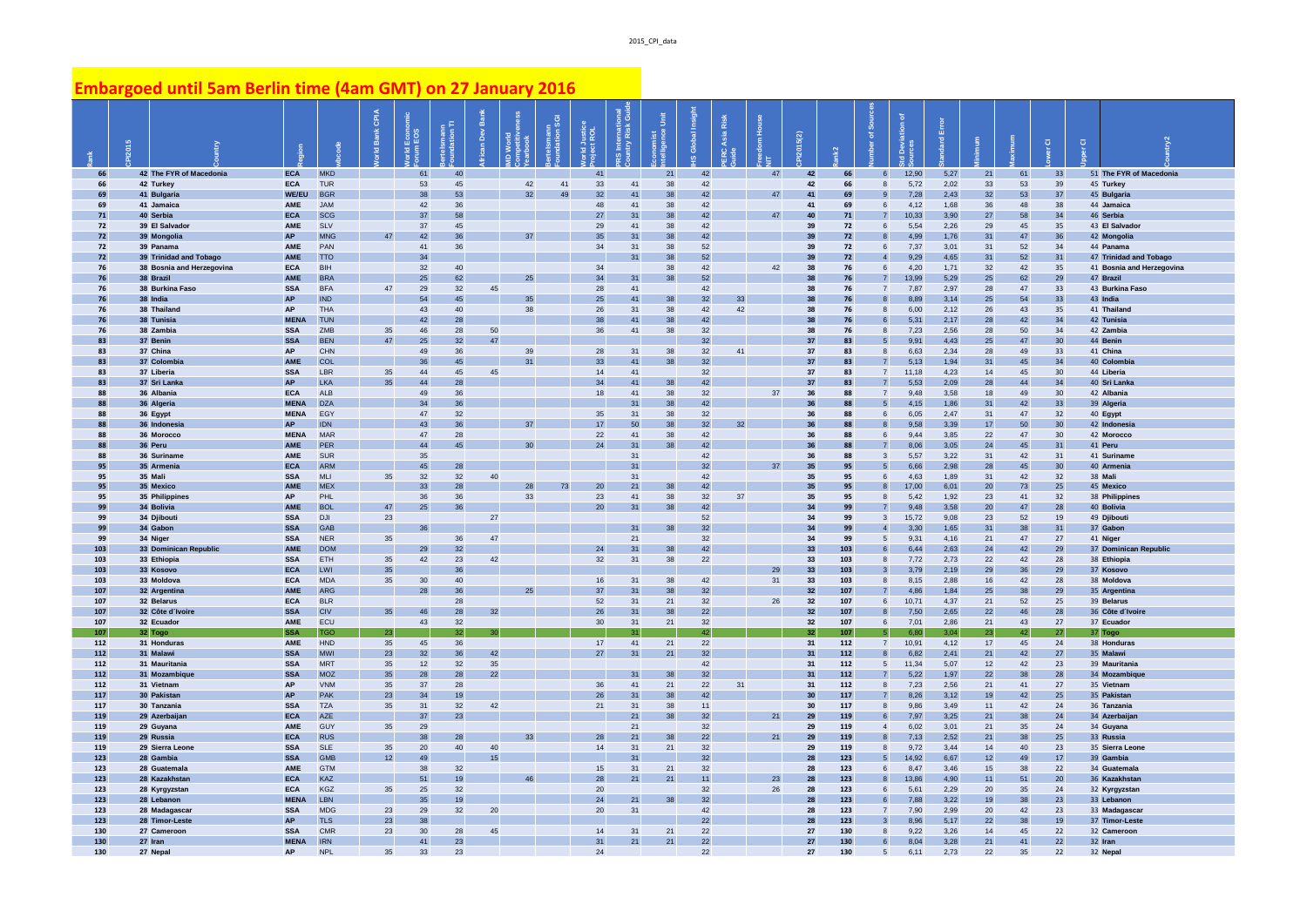## **Embargoed until 5am Berlin time (4am GMT) on 27 January 2016**

|                      | 2015 |                                      |                           |                          | CPIA<br>Ť | Econo    | II uuan        | 岛<br>$\mathsf{Dev}$ | 호.              | ann<br>on SGI | Justice<br>LROL | nternatio<br>try Risk |          | ဖ        | Risk |    | 5(2)     |                      | ᅮ                                 |               |              |          |          | $\overline{O}$ | $\overline{\textbf{o}}$ |                                      |
|----------------------|------|--------------------------------------|---------------------------|--------------------------|-----------|----------|----------------|---------------------|-----------------|---------------|-----------------|-----------------------|----------|----------|------|----|----------|----------------------|-----------------------------------|---------------|--------------|----------|----------|----------------|-------------------------|--------------------------------------|
| 66                   |      | 42 The FYR of Macedonia              | <b>ECA</b>                | <b>MKD</b>               |           | 61       | 40             |                     |                 |               | 41              |                       | 21       | 42       |      | 47 | 42       | 66                   | $\epsilon$                        | 12.90         | 5,27         | 21       | 61       | 33             |                         | 51 The FYR of Macedonia              |
| 66                   |      | 42 Turkey                            | <b>ECA</b>                | <b>TUR</b>               |           | 53       | 45             |                     | 42              | 41            | 33              | 41                    | 38       | 42       |      |    | 42       | 66                   | $\mathbf{a}$                      | 5,72          | 2,02         | 33       | 53       | 39             |                         | 45 Turkey                            |
| 69                   |      | 41 Bulgaria                          | <b>WE/EU</b>              | <b>BGR</b>               |           | 38       | 53             |                     | 32              | 49            | 32              | 41                    | 38       | 42       |      | 47 | 41       | 69                   |                                   | 7,28          | 2,43         | 32       | 53       | 37             |                         | 45 Bulgaria                          |
| 69<br>71             |      | 41 Jamaica<br>40 Serbia              | <b>AME</b><br><b>ECA</b>  | <b>JAM</b><br><b>SCG</b> |           | 42<br>37 | 36<br>58       |                     |                 |               | 48<br>27        | 41<br>31              | 38<br>38 | 42<br>42 |      | 47 | 41<br>40 | 69<br>71             | 6<br>$\overline{7}$               | 4,12<br>10,33 | 1,68<br>3,90 | 36<br>27 | 48<br>58 | 38<br>34       |                         | 44 Jamaica<br>46 Serbia              |
| 72                   |      | 39 El Salvador                       | AME                       | <b>SLV</b>               |           | 37       | 45             |                     |                 |               | 29              | 41                    | 38       | 42       |      |    | 39       | 72                   | 6                                 | 5,54          | 2,26         | 29       | 45       | 35             |                         | 43 El Salvador                       |
| 72                   |      | 39 Mongolia                          | <b>AP</b>                 | <b>MNG</b>               | 47        | 42       | 36             |                     | 37              |               | 35              | 31                    | 38       | 42       |      |    | 39       | 72                   | $\mathbf{a}$                      | 4,99          | 1,76         | 31       | 47       | 36             |                         | 42 Mongolia                          |
| 72                   |      | 39 Panama                            | AME                       | PAN                      |           | 41       | 36             |                     |                 |               | 34              | 31                    | 38       | 52       |      |    | 39       | 72                   | 6                                 | 7,37          | 3,01         | 31       | 52       | 34             |                         | 44 Panama                            |
| 72                   |      | 39 Trinidad and Tobago               | AME                       | <b>TTO</b>               |           | 34       |                |                     |                 |               |                 | 31                    | 38       | 52       |      |    | 39       | 72                   | $\overline{4}$                    | 9,29          | 4,65         | 31       | 52       | 31             |                         | 47 Trinidad and Tobago               |
| 76                   |      | 38 Bosnia and Herzegovina            | <b>ECA</b>                | <b>RIH</b>               |           | 32       | 40             |                     |                 |               | 34              |                       | 38       | 42       |      | 42 | 38       | 76                   | $6 \overline{6}$                  | 4,20          | 1,71         | 32       | 42       | 35             |                         | 41 Bosnia and Herzegovina            |
| 76<br>76             |      | 38 Brazil<br>38 Burkina Faso         | AME<br><b>SSA</b>         | <b>BRA</b><br><b>BFA</b> | 47        | 25<br>29 | 62<br>32       | 45                  | 25              |               | 34<br>28        | 31<br>41              | 38       | 52<br>42 |      |    | 38<br>38 | 76<br>76             | $\overline{7}$<br>$\overline{7}$  | 13,99<br>7,87 | 5,29<br>2,97 | 25<br>28 | 62<br>47 | 29<br>33       |                         | 47 Brazil<br>43 Burkina Faso         |
| 76                   |      | 38 India                             | <b>AP</b>                 | <b>IND</b>               |           | 54       | 45             |                     | 35              |               | 25              | 41                    | 38       | 32       | 33   |    | 38       | 76                   | 8                                 | 8,89          | 3,14         | 25       | 54       | 33             |                         | 43 India                             |
| 76                   |      | 38 Thailand                          | <b>AP</b>                 | <b>THA</b>               |           | 43       | 40             |                     | 38              |               | 26              | 31                    | 38       | 42       | 42   |    | 38       | 76                   | $\mathbf{a}$                      | 6,00          | 2,12         | 26       | 43       | 35             |                         | 41 Thailand                          |
| 76                   |      | 38 Tunisia                           | <b>MENA</b>               | <b>TUN</b>               |           | 42       | 28             |                     |                 |               | 38              | 41                    | 38       | 42       |      |    | 38       | 76                   | $6 \overline{6}$                  | 5,31          | 2,17         | 28       | 42       | 34             |                         | 42 Tunisia                           |
| 76                   |      | 38 Zambia                            | <b>SSA</b>                | ZMB                      | 35        | 46       | 28             | 50                  |                 |               | 36              | 41                    | 38       | 32       |      |    | 38       | 76                   | $\mathbf{a}$                      | 7,23          | 2,56         | 28       | 50       | 34             |                         | 42 Zambia                            |
| R <sup>3</sup><br>83 |      | 37 Benin<br>37 China                 | <b>SSA</b><br><b>AP</b>   | <b>BEN</b><br><b>CHN</b> | 47        | 25<br>49 | 32<br>36       | 47                  | 39              |               | 28              | 31                    | 38       | 32<br>32 | 41   |    | 37<br>37 | R <sup>2</sup><br>83 | 5 <sub>5</sub><br>$\mathbf{a}$    | 9,91<br>6.63  | 4,43<br>2.34 | 25<br>28 | 47<br>49 | 30<br>33       |                         | 44 Benin<br>41 China                 |
| R <sup>3</sup>       |      | 37 Colombi                           | AME                       | COL                      |           | 36       | 4 <sub>5</sub> |                     | 31              |               | 33              | 41                    | 38       | 32       |      |    | 37       | R <sup>2</sup>       | $\overline{7}$                    | 5,13          | 1,94         | 31       | 45       | 34             |                         | 40 Colombia                          |
| 83                   |      | 37 Liberia                           | <b>SSA</b>                | <b>LBR</b>               | 35        | 44       | 45             | 45                  |                 |               | 14              | 41                    |          | 32       |      |    | 37       | 83                   | $\overline{7}$                    | 11,18         | 4,23         | 14       | 45       | 30             |                         | 44 Liberia                           |
| R <sup>3</sup>       |      | 37 Sri Lanka                         | <b>AP</b>                 | <b>LKA</b>               | 35        | 44       | 28             |                     |                 |               | 34              | 41                    | 38       | 42       |      |    | 37       | 83                   | $\overline{7}$                    | 5,53          | 2,09         | 28       | 44       | 34             |                         | 40 Sri Lanka                         |
| 88                   |      | 36 Albania                           | <b>ECA</b>                | <b>ALB</b>               |           | 49       | 36             |                     |                 |               | 18              | 41                    | 38       | 32       |      | 37 | 36       | 88                   | $\overline{7}$                    | 9,48          | 3,58         | 18       | 49       | 30             |                         | 42 Albania                           |
| 88                   |      | 36 Algeria                           | <b>MENA</b>               | <b>DZA</b>               |           | 34       | 36             |                     |                 |               |                 | 31                    | 38       | 42       |      |    | 36       | 88                   | $\overline{5}$                    | 4,15          | 1,86         | 31       | 42       | 33             |                         | 39 Algeria                           |
| 88<br>88             |      | 36 Egypt<br>36 Indonesia             | <b>MENA</b><br><b>AP</b>  | EGY<br><b>IDN</b>        |           | 47<br>43 | 32<br>36       |                     | 37              |               | 35<br>17        | 31<br>50              | 38<br>38 | 32<br>32 | 32   |    | 36<br>36 | 88<br>88             | $6 \overline{6}$                  | 6,05<br>9,58  | 2,47<br>3.39 | 31<br>17 | 47<br>50 | 32<br>30       |                         | 40 Egypt<br>42 Indonesia             |
| 88                   |      | 36 Morocco                           | <b>MENA</b>               | <b>MAR</b>               |           | 47       | 28             |                     |                 |               | 22              | 41                    | 38       | 42       |      |    | 36       | 88                   | 6                                 | 9,44          | 3,85         | 22       | 47       | 30             |                         | 42 Morocco                           |
| 88                   |      | 36 Peru                              | <b>AME</b>                | <b>PER</b>               |           | 44       | 45             |                     | 30              |               | 24              | 31                    | 38       | 42       |      |    | 36       | 88                   |                                   | 8,06          | 3,05         | 24       | 45       | 31             |                         | 41 Peru                              |
| 88                   |      | 36 Suriname                          | AME                       | <b>SUR</b>               |           | 35       |                |                     |                 |               |                 | 31                    |          | 42       |      |    | 36       | 88                   | $\mathbf{3}$                      | 5,57          | 3,22         | 31       | 42       | 31             |                         | 41 Suriname                          |
| 95                   |      | 35 Armenia                           | <b>ECA</b>                | <b>ARM</b>               |           | 45       | 28             |                     |                 |               |                 | 31                    |          | 32       |      | 37 | 35       | 95                   | 5 <sub>5</sub>                    | 6,66          | 2,98         | 28       | 45       | 30             |                         | 40 Armenia                           |
| 95<br>95             |      | 35 Mali<br>35 Mexico                 | <b>SSA</b><br>AME         | <b>MLI</b><br><b>MEX</b> | 35        | 32<br>33 | 32<br>28       | 40                  | 28              | 73            | $20\degree$     | 31<br>21              | 38       | 42<br>42 |      |    | 35<br>35 | 95<br>95             | 6<br>8                            | 4,63<br>17,00 | 1,89<br>6,01 | 31<br>20 | 42<br>73 | 32<br>25       |                         | 38 Mali<br>45 Mexico                 |
| 95                   |      | 35 Philippines                       | <b>AP</b>                 | PHL                      |           | 36       | 36             |                     | 33              |               | 23              | 41                    | 38       | 32       | 37   |    | 35       | 95                   | $\mathbf{a}$                      | 5,42          | 1,92         | 23       | 41       | 32             |                         | 38 Philippines                       |
| 99                   |      | 34 Bolivia                           | AME                       | <b>BOL</b>               | 47        | 25       | 36             |                     |                 |               | 20              | 31                    | 38       | 42       |      |    | 34       | 99                   | $\overline{7}$                    | 9,48          | 3,58         | 20       | 47       | 28             |                         | 40 Bolivia                           |
| 99                   |      | 34 Diibouti                          | <b>SSA</b>                | <b>DJI</b>               | 23        |          |                | 27                  |                 |               |                 |                       |          | 52       |      |    | 34       | 99                   | $\mathbf{3}$                      | 15,72         | 9.08         | 23       | 52       | 19             |                         | 49 Djibout                           |
| 99                   |      | 34 Gabon                             | <b>SSA</b>                | <b>GAB</b>               |           | 36       |                |                     |                 |               |                 | 31                    | 38       | 32       |      |    | 34       | 99                   | $\mathbf{A}$                      | 3,30          | 1,65         | 31       | 38       | 31             |                         | 37 Gabon                             |
| 99                   |      | 34 Niger                             | <b>SSA</b>                | <b>NER</b>               | 35        | 29       | 36<br>32       | 47                  |                 |               | 24              | 21                    |          | 32<br>42 |      |    | 34       | 99                   | $\sqrt{5}$<br>6                   | 9,31          | 4.16         | 21       | 47<br>42 | 27             |                         | 41 Niger                             |
| 103<br>103           |      | 33 Dominican Republic<br>33 Ethiopia | AME<br><b>SSA</b>         | <b>DOM</b><br><b>ETH</b> | 35        | 42       | 23             | 42                  |                 |               | 32              | 31<br>31              | 38<br>38 | 22       |      |    | 33<br>33 | 103<br>103           | 8                                 | 6,44<br>7,72  | 2,63<br>2,73 | 24<br>22 | 42       | 29<br>28       |                         | 37 Dominican Republic<br>38 Ethiopia |
| 103                  |      | 33 Kosovo                            | <b>ECA</b>                | <b>LWI</b>               | 35        |          | 36             |                     |                 |               |                 |                       |          |          |      | 29 | 33       | 103                  | $\overline{3}$                    | 3,79          | 2,19         | 29       | 36       | 29             |                         | 37 Kosovo                            |
| 103                  |      | 33 Moldova                           | <b>ECA</b>                | <b>MDA</b>               | 35        | 30       | 40             |                     |                 |               | 16              | 31                    | 38       | 42       |      | 31 | 33       | 103                  | 8                                 | 8,15          | 2,88         | 16       | 42       | 28             |                         | 38 Moldova                           |
| 107                  |      | 32 Argentina                         | <b>AME</b>                | <b>ARG</b>               |           | 28       | 36             |                     | 25              |               | 37              | 31                    | 38       | 32       |      |    | 32       | 107                  | $\overline{7}$                    | 4.86          | 1,84         | 25       | 38       | 29             |                         | 35 Argentina                         |
| 107<br>107           |      | 32 Belarus                           | <b>ECA</b><br><b>SSA</b>  | <b>BLR</b><br><b>CIV</b> | 35        | 46       | 28<br>28       | 32                  |                 |               | 52              | 31<br>31              | 21<br>38 | 32       |      | 26 | 32<br>32 | 107                  | $6 \overline{6}$                  | 10,71         | 4,37<br>2,65 | 21<br>22 | 52<br>46 | 25             |                         | 39 Belarus                           |
| 107                  |      | 32 Côte d'Ivoire<br>32 Ecuador       | AME                       | <b>ECU</b>               |           | 43       | 32             |                     |                 |               | 26<br>30        | 31                    | 21       | 22<br>32 |      |    | 32       | 107<br>107           | 8<br>6                            | 7,50<br>7,01  | 2,86         | 21       | 43       | 28<br>27       |                         | 36 Côte d'Ivoire<br>37 Ecuador       |
| 107                  |      | 32 Togo                              |                           | TGO                      | 23        |          | 32             |                     |                 |               |                 | 31                    |          | 42       |      |    | 32       | 107                  |                                   |               | 3.04         | 23       | 42       | 27             |                         | 37 Togo                              |
| 112                  |      | 31 Honduras                          | AME                       | <b>HND</b>               | 35        | 45       | 36             |                     |                 |               | 17              | 41                    | 21       | 22       |      |    | 31       | 112                  | $7\overline{ }$                   | 10,91         | 4,12         | 17       | 45       | 24             |                         | 38 Honduras                          |
| 112                  |      | 31 Malawi                            | <b>SSA</b>                | <b>MWI</b>               | 23        | 32       | 36             | 42                  |                 |               | 27              | 31                    | 21       | 32       |      |    | 31       | 112                  | 8                                 | 6,82          | 2,41         | 21       | 42       | 27             |                         | 35 Malawi                            |
| 112<br>112           |      | 31 Mauritania<br>31 Mozambiqu        | <b>SSA</b><br><b>SSA</b>  | <b>MRT</b><br><b>MOZ</b> | 35<br>35  | 12<br>28 | 32<br>28       | 35<br>22            |                 |               |                 | 31                    | 38       | 42<br>32 |      |    | 31<br>31 | 112<br>112           | $5\overline{5}$<br>$\overline{7}$ | 11,34<br>5,22 | 5,07<br>1,97 | 12<br>22 | 42<br>38 | 23<br>28       |                         | 39 Mauritania<br>34 Mozambique       |
| 112                  |      | 31 Vietnam                           | <b>AP</b>                 | <b>VNM</b>               | 35        | 37       | 28             |                     |                 |               | 36              | 41                    | 21       | 22       | 31   |    | 31       | 112                  | $\mathbf{g}$                      | 7.23          | 2.56         | 21       | 41       | 27             |                         | 35 Vietnam                           |
| 117                  |      | 30 Pakistan                          | AP                        | <b>PAK</b>               | 23        | 34       | 19             |                     |                 |               | 26              | 31                    | 38       | 42       |      |    | 30       | 117                  | $\overline{7}$                    | 8,26          | 3,12         | 19       | 42       | 25             |                         | 35 Pakistan                          |
| 117                  |      | 30 Tanzania                          | <b>SSA</b>                | <b>TZA</b>               | 35        | 31       | 32             | 42                  |                 |               | 21              | 31                    | 38       | 11       |      |    | 30       | 117                  | 8                                 | 9,86          | 3,49         | 11       | 42       | 24             |                         | 36 Tanzania                          |
| 119                  |      | 29 Azerbaija                         | <b>ECA</b>                | AZE                      |           | 37       | 23             |                     |                 |               |                 | 21                    | 38       | 32       |      | 21 | 29       | 119                  | $6\phantom{1}$                    | 7,97          | 3,25         | 21       | 38       | 24             |                         | 34 Azerbaijar                        |
| 119                  |      | 29 Guyana                            | AME                       | <b>GUY</b>               | 35        | 29       |                |                     | 33 <sup>1</sup> |               |                 | 21                    |          | 32       |      |    | 29       | 119                  | $\overline{4}$<br>$\mathbf{a}$    | 6,02          | 3,01         | 21       | 35       | 24             |                         | 34 Guyana                            |
| 119<br>119           |      | 29 Russia<br>29 Sierra Leone         | <b>ECA</b><br><b>SSA</b>  | <b>RUS</b><br><b>SLE</b> | 35        | 38<br>20 | 28<br>40       | 40                  |                 |               | 28<br>14        | 21<br>31              | 38<br>21 | 22<br>32 |      | 21 | 29<br>29 | 119<br>119           | 8                                 | 7,13<br>9,72  | 2,52<br>3,44 | 21<br>14 | 38<br>40 | 25<br>23       |                         | 33 Russia<br>35 Sierra Leone         |
| 123                  |      | 28 Gambia                            | <b>SSA</b>                | <b>GMB</b>               | 12        | 49       |                | 15                  |                 |               |                 | 31                    |          | 32       |      |    | 28       | 123                  | 5 <sup>1</sup>                    | 14.92         | 6.67         | 12       | 49       | 17             |                         | 39 Gambia                            |
| 123                  |      | 28 Guatemala                         | <b>AME</b>                | <b>GTM</b>               |           | 38       | 32             |                     |                 |               | 15              | 31                    | 21       | 32       |      |    | 28       | 123                  | $6 \overline{6}$                  | 8,47          | 3.46         | 15       | 38       | 22             |                         | 34 Guatemala                         |
| 123                  |      | 28 Kazakhstan                        | <b>ECA</b>                | <b>KAZ</b>               |           | 51       | 19             |                     | 46              |               | 28              | 21                    | 21       | 11       |      | 23 | 28       | 123                  | $\mathbf{a}$                      | 13,86         | 4,90         | 11       | 51       | 20             |                         | 36 Kazakhstan                        |
| 123<br>123           |      | 28 Kyrgyzstan<br>28 Lebanon          | <b>ECA</b>                | <b>KGZ</b><br><b>LBN</b> | 35        | 25<br>35 | 32             |                     |                 |               | 20              |                       | 38       | 32<br>32 |      | 26 | 28<br>28 | 123                  | 6                                 | 5,61          | 2,29<br>3,22 | 20       | 35       | 24             |                         | 32 Kyrgyzstan<br>33 Lebanon          |
| 123                  |      | 28 Madagascar                        | <b>MENA</b><br><b>SSA</b> | <b>MDG</b>               | 23        | 29       | 19<br>32       | 20                  |                 |               | 24<br>20        | 21<br>31              |          | 42       |      |    | 28       | 123<br>123           | 6<br>$7\overline{ }$              | 7,88<br>7,90  | 2,99         | 19<br>20 | 38<br>42 | 23<br>23       |                         | 33 Madagascar                        |
| 123                  |      | 28 Timor-Leste                       | <b>AP</b>                 | <b>TLS</b>               | 23        | 38       |                |                     |                 |               |                 |                       |          | 22       |      |    | 28       | 123                  | $\overline{3}$                    | 8,96          | 5,17         | 22       | 38       | 19             |                         | 37 Timor-Leste                       |
| 130                  |      | 27 Cameroon                          | <b>SSA</b>                | <b>CMR</b>               | 23        | 30       | ${\bf 28}$     | 45                  |                 |               | 14              | 31                    | 21       | 22       |      |    | $27\,$   | 130                  | $\mathbf{a}$                      | 9,22          | 3,26         | 14       | 45       | 22             |                         | 32 Cameroon                          |
| 130                  |      | 27 Iran                              | <b>MENA</b>               | <b>IRN</b>               |           | 41       | 23             |                     |                 |               | 31              | 21                    | 21       | 22       |      |    | 27       | 130                  | $6 \overline{6}$                  | 8.04          | 3,28         | 21       | 41       | 22             |                         | 32 Iran                              |
| 130                  |      | 27 Nepal                             | <b>AP</b>                 | <b>NPL</b>               | 35        | 33       | 23             |                     |                 |               | 24              |                       |          | 22       |      |    | 27       | 130                  | $\sqrt{5}$                        | 6.11          | 2.73         | 22       | 35       | 22             |                         | 32 Nepal                             |